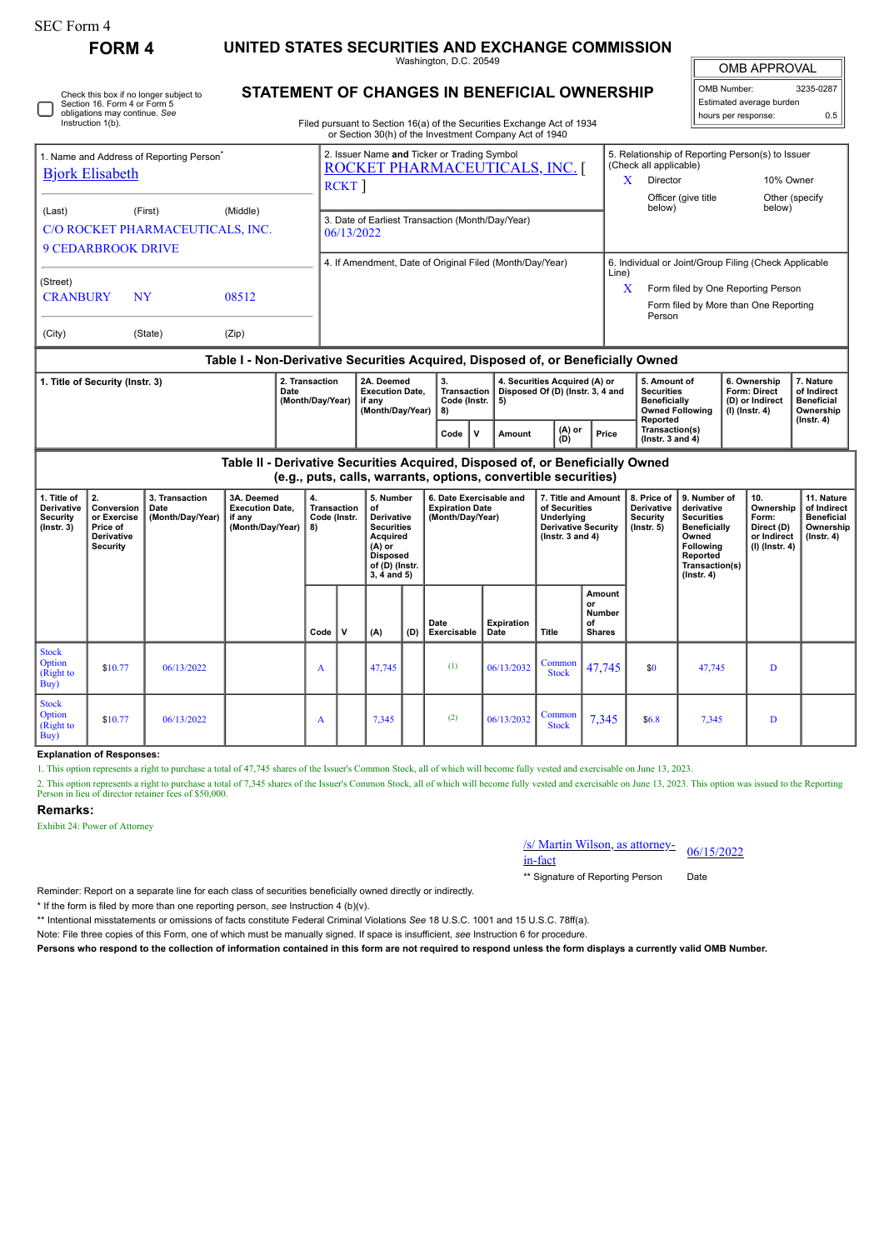| FORM 4 | UNITED STATES SECURITIES AND EXCHANGE COMMISSION |
|--------|--------------------------------------------------|
|--------|--------------------------------------------------|

Washington, D.C. 20549

OMB APPROVAL

| OMB Number:              | 3235-0287 |
|--------------------------|-----------|
| Estimated average burden |           |
| hours per response:      | 0.5       |

**STATEMENT OF CHANGES IN BENEFICIAL OWNERSHIP**

|                                                                                                                                                                                  | Section 16, Form 4 or Form 5                       | Check this box if no longer subject to |                |  | STATEMENT OF CHANGES IN BENEFICIAL OWNERSHIP                                                                                                                   |                                                                                                                                  |              |                                                                         |        |                 |       |                                                                                                                              |                                          |                                      | Estimated average burden                                            |                                                                                                                                      |            |
|----------------------------------------------------------------------------------------------------------------------------------------------------------------------------------|----------------------------------------------------|----------------------------------------|----------------|--|----------------------------------------------------------------------------------------------------------------------------------------------------------------|----------------------------------------------------------------------------------------------------------------------------------|--------------|-------------------------------------------------------------------------|--------|-----------------|-------|------------------------------------------------------------------------------------------------------------------------------|------------------------------------------|--------------------------------------|---------------------------------------------------------------------|--------------------------------------------------------------------------------------------------------------------------------------|------------|
|                                                                                                                                                                                  | obligations may continue. See<br>Instruction 1(b). |                                        |                |  |                                                                                                                                                                | Filed pursuant to Section 16(a) of the Securities Exchange Act of 1934<br>or Section 30(h) of the Investment Company Act of 1940 |              |                                                                         |        |                 |       |                                                                                                                              |                                          |                                      | hours per response:                                                 |                                                                                                                                      | 0.5        |
| 1. Name and Address of Reporting Person <sup>®</sup><br><b>Bjork Elisabeth</b><br>(Last)<br>(First)<br>(Middle)<br>C/O ROCKET PHARMACEUTICALS, INC.<br><b>9 CEDARBROOK DRIVE</b> |                                                    |                                        |                |  | 2. Issuer Name and Ticker or Trading Symbol<br><u>ROCKET PHARMACEUTICALS, INC. [</u><br>RCKT<br>3. Date of Earliest Transaction (Month/Day/Year)<br>06/13/2022 |                                                                                                                                  |              |                                                                         |        |                 |       | 5. Relationship of Reporting Person(s) to Issuer<br>(Check all applicable)<br>X<br>Director<br>Officer (give title<br>below) |                                          |                                      | 10% Owner<br>Other (specify<br>below)                               |                                                                                                                                      |            |
| (Street)<br><b>CRANBURY</b><br>(City)                                                                                                                                            |                                                    | <b>NY</b><br>(State)                   | 08512<br>(Zip) |  |                                                                                                                                                                | 4. If Amendment, Date of Original Filed (Month/Day/Year)                                                                         |              |                                                                         |        |                 |       | Line)<br>X                                                                                                                   | Person                                   |                                      |                                                                     | 6. Individual or Joint/Group Filing (Check Applicable<br>Form filed by One Reporting Person<br>Form filed by More than One Reporting |            |
|                                                                                                                                                                                  |                                                    |                                        |                |  |                                                                                                                                                                | Table I - Non-Derivative Securities Acquired, Disposed of, or Beneficially Owned                                                 |              |                                                                         |        |                 |       |                                                                                                                              |                                          |                                      |                                                                     |                                                                                                                                      |            |
| 2. Transaction<br>1. Title of Security (Instr. 3)<br>Date<br>(Month/Day/Year)                                                                                                    |                                                    |                                        |                |  | 2A. Deemed<br><b>Execution Date,</b><br>if any<br>(Month/Day/Year)                                                                                             | 3.<br><b>Transaction</b><br>8)                                                                                                   | Code (Instr. | 4. Securities Acquired (A) or<br>Disposed Of (D) (Instr. 3, 4 and<br>5) |        |                 |       | 5. Amount of<br><b>Securities</b><br>Beneficially<br>Reported                                                                | <b>Owned Following</b>                   |                                      | 6. Ownership<br>Form: Direct<br>(D) or Indirect<br>$(I)$ (Instr. 4) | 7. Nature<br>of Indirect<br><b>Beneficial</b><br>Ownership<br>$($ lnstr. 4 $)$                                                       |            |
|                                                                                                                                                                                  |                                                    |                                        |                |  |                                                                                                                                                                |                                                                                                                                  | Code         | ۱v                                                                      | Amount | $(A)$ or<br>(D) | Price |                                                                                                                              | Transaction(s)<br>$($ lnstr. 3 and 4 $)$ |                                      |                                                                     |                                                                                                                                      |            |
| Table II - Derivative Securities Acquired, Disposed of, or Beneficially Owned<br>(e.g., puts, calls, warrants, options, convertible securities)                                  |                                                    |                                        |                |  |                                                                                                                                                                |                                                                                                                                  |              |                                                                         |        |                 |       |                                                                                                                              |                                          |                                      |                                                                     |                                                                                                                                      |            |
| $\overline{4}$ Title of $\overline{1}$ $\overline{2}$                                                                                                                            |                                                    | $2$ Transportion                       | 2A Boomed      |  |                                                                                                                                                                | E. Number <b>C. Deta Evergicable and  7.</b> Title and Amount                                                                    |              |                                                                         |        |                 |       |                                                                                                                              |                                          | $\theta$ Brigg of $\theta$ Number of |                                                                     | ـ مەل                                                                                                                                | 44 Motives |

| 1. Title of<br><b>Derivative</b><br>Security<br>$($ Instr. 3 $)$ | 2.<br>Conversion<br>or Exercise<br>Price of<br><b>Derivative</b><br><b>Security</b> | 3. Transaction<br>Date<br>(Month/Day/Year) | 3A. Deemed<br><b>Execution Date,</b><br>if any<br>(Month/Day/Year) | 4.<br>Transaction<br>Code (Instr.<br>  8) |   | 5. Number<br>of<br><b>Derivative</b><br><b>Securities</b><br>Acquired<br>$(A)$ or<br><b>Disposed</b><br>of (D) (Instr.<br>$3, 4$ and $5)$ |     |                     |                    | <b>Expiration Date</b><br>(Month/Day/Year) |                                               | 6. Date Exercisable and |        | 7. Title and Amount<br>of Securities<br>Underlying<br><b>Derivative Security</b><br>$($ lnstr. 3 and 4 $)$ |  |  |  | 8. Price of<br><b>Derivative</b><br>Security<br>$($ lnstr. 5 $)$ | 9. Number of<br>derivative<br><b>Securities</b><br>Beneficially<br>Owned<br><b>Following</b><br>Reported<br>Transaction(s)<br>$($ Instr. 4 $)$ | 10.<br>Ownership<br>Form:<br>Direct (D)<br>or Indirect<br>(I) (Instr. 4) | 11. Nature<br>of Indirect<br><b>Beneficial</b><br>Ownership<br>$($ Instr. 4 $)$ |
|------------------------------------------------------------------|-------------------------------------------------------------------------------------|--------------------------------------------|--------------------------------------------------------------------|-------------------------------------------|---|-------------------------------------------------------------------------------------------------------------------------------------------|-----|---------------------|--------------------|--------------------------------------------|-----------------------------------------------|-------------------------|--------|------------------------------------------------------------------------------------------------------------|--|--|--|------------------------------------------------------------------|------------------------------------------------------------------------------------------------------------------------------------------------|--------------------------------------------------------------------------|---------------------------------------------------------------------------------|
|                                                                  |                                                                                     |                                            |                                                                    | Code                                      | ν | (A)                                                                                                                                       | (D) | Date<br>Exercisable | Expiration<br>Date | Title                                      | Amount<br>or<br>Number<br>of<br><b>Shares</b> |                         |        |                                                                                                            |  |  |  |                                                                  |                                                                                                                                                |                                                                          |                                                                                 |
| <b>Stock</b><br>Option<br>(Right to<br>Buy)                      | \$10.77                                                                             | 06/13/2022                                 |                                                                    | A                                         |   | 47,745                                                                                                                                    |     | (1)                 | 06/13/2032         | Common<br><b>Stock</b>                     | 47,745                                        | \$0                     | 47,745 | D                                                                                                          |  |  |  |                                                                  |                                                                                                                                                |                                                                          |                                                                                 |
| <b>Stock</b><br>Option<br>(Right to<br>Buy)                      | \$10.77                                                                             | 06/13/2022                                 |                                                                    | A                                         |   | 7,345                                                                                                                                     |     | (2)                 | 06/13/2032         | Common<br><b>Stock</b>                     | 7,345                                         | \$6.8\$                 | 7,345  | D                                                                                                          |  |  |  |                                                                  |                                                                                                                                                |                                                                          |                                                                                 |

## **Explanation of Responses:**

1. This option represents a right to purchase a total of 47,745 shares of the Issuer's Common Stock, all of which will become fully vested and exercisable on June 13, 2023.

2. This option represents a right to purchase a total of 7,345 shares of the Issuer's Common Stock, all of which will become fully vested and exercisable on June 13, 2023. This option was issued to the Reporting<br>Person in

## **Remarks:**

Exhibit 24: Power of Attorney

## /s/ Martin Wilson, as attorney-<br>in-fact

\*\* Signature of Reporting Person Date

Reminder: Report on a separate line for each class of securities beneficially owned directly or indirectly.

\* If the form is filed by more than one reporting person, *see* Instruction 4 (b)(v).

\*\* Intentional misstatements or omissions of facts constitute Federal Criminal Violations *See* 18 U.S.C. 1001 and 15 U.S.C. 78ff(a).

Note: File three copies of this Form, one of which must be manually signed. If space is insufficient, *see* Instruction 6 for procedure.

**Persons who respond to the collection of information contained in this form are not required to respond unless the form displays a currently valid OMB Number.**